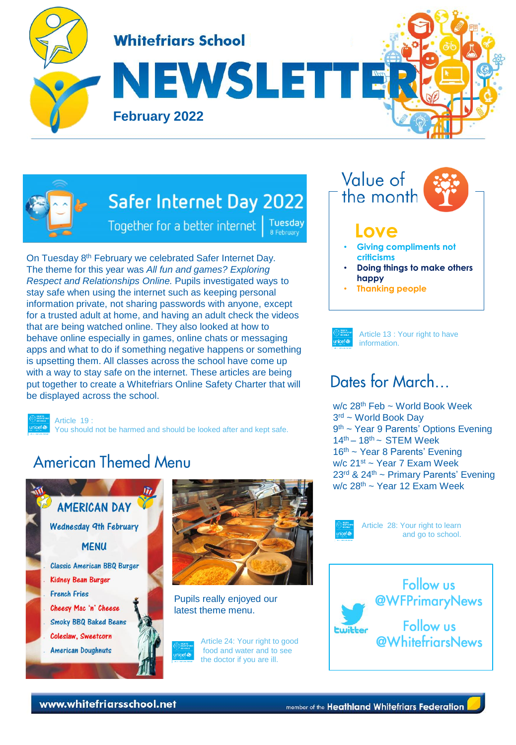



# Safer Internet Day 2022

**Tuesday** Together for a better internet 8 February

On Tuesday 8<sup>th</sup> February we celebrated Safer Internet Day. The theme for this year was *All fun and games? Exploring Respect and Relationships Online.* Pupils investigated ways to stay safe when using the internet such as keeping personal information private, not sharing passwords with anyone, except for a trusted adult at home, and having an adult check the videos that are being watched online. They also looked at how to behave online especially in games, online chats or messaging apps and what to do if something negative happens or something is upsetting them. All classes across the school have come up with a way to stay safe on the internet. These articles are being put together to create a Whitefriars Online Safety Charter that will be displayed across the school.

Article 19 : You should not be harmed and should be looked after and kept safe.

# **American Themed Menu**





Pupils really enjoyed our latest theme menu.





#### **Love**

- **Giving compliments not criticisms**
- **Doing things to make others happy**
- **Thanking people**



Article 13 : Your right to have information.

## Dates for March

w/c 28th Feb ~ World Book Week 3 rd ~ World Book Day 9<sup>th</sup> ~ Year 9 Parents' Options Evening  $14<sup>th</sup> - 18<sup>th</sup> \sim$  STFM Week 16<sup>th</sup> ~ Year 8 Parents' Evening w/c 21st ~ Year 7 Exam Week 23rd & 24th ~ Primary Parents' Evening  $w/c$  28<sup>th</sup> ~ Year 12 Exam Week



Article 28: Your right to learn and go to school.



www.whitefriarsschool.net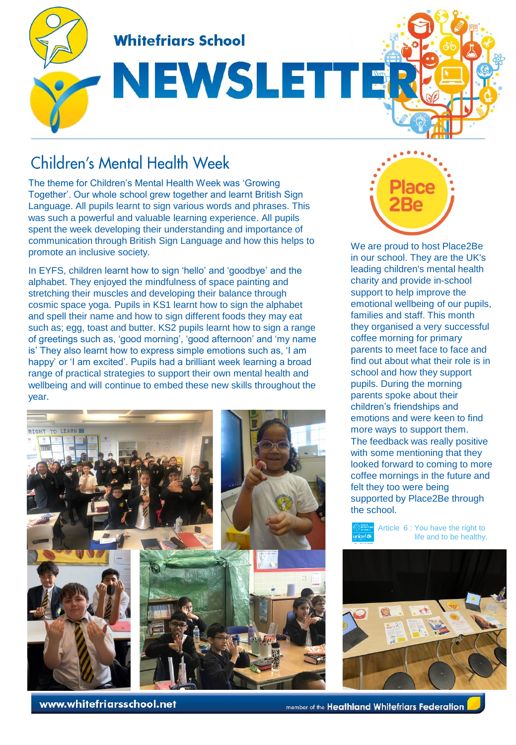

# NEWSLETTE

## **Children's Mental Health Week**

The theme for Children's Mental Health Week was 'Growing Together'. Our whole school grew together and learnt British Sign Language. All pupils learnt to sign various words and phrases. This was such a powerful and valuable learning experience. All pupils spent the week developing their understanding and importance of communication through British Sign Language and how this helps to promote an inclusive society.

In EYFS, children learnt how to sign 'hello' and 'goodbye' and the alphabet. They enjoyed the mindfulness of space painting and stretching their muscles and developing their balance through cosmic space yoga. Pupils in KS1 learnt how to sign the alphabet and spell their name and how to sign different foods they may eat such as; egg, toast and butter. KS2 pupils learnt how to sign a range of greetings such as, 'good morning', 'good afternoon' and 'my name is' They also learnt how to express simple emotions such as, 'I am happy' or 'I am excited'. Pupils had a brilliant week learning a broad range of practical strategies to support their own mental health and wellbeing and will continue to embed these new skills throughout the year.



We are proud to host Place2Be in our school. They are the UK's leading children's mental health charity and provide in-school support to help improve the emotional wellbeing of our pupils, families and staff. This month they organised a very successful coffee morning for primary parents to meet face to face and find out about what their role is in school and how they support pupils. During the morning parents spoke about their children's friendships and emotions and were keen to find more ways to support them. The feedback was really positive with some mentioning that they looked forward to coming to more coffee mornings in the future and felt they too were being supported by Place2Be through the school.





www.whitefriarsschool.net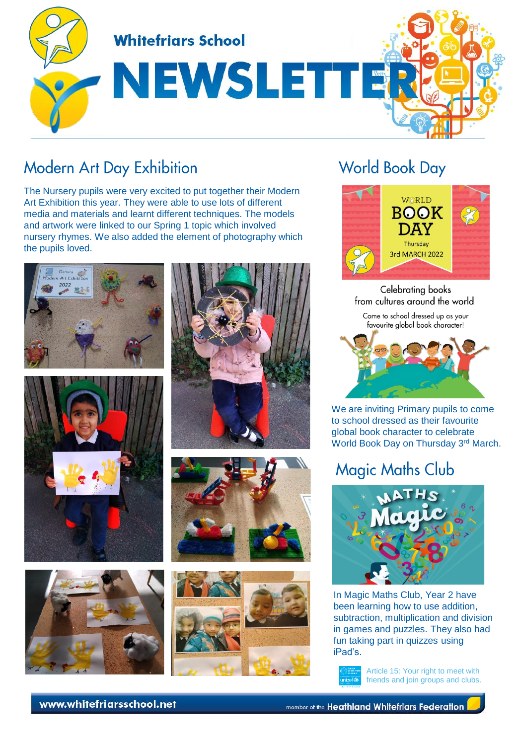

## **Modern Art Day Exhibition**

The Nursery pupils were very excited to put together their Modern Art Exhibition this year. They were able to use lots of different media and materials and learnt different techniques. The models and artwork were linked to our Spring 1 topic which involved nursery rhymes. We also added the element of photography which the pupils loved.













# **World Book Day**



Celebrating books from cultures around the world

Come to school dressed up as your favourite global book character!



We are inviting Primary pupils to come to school dressed as their favourite global book character to celebrate World Book Day on Thursday 3rd March.

# **Magic Maths Club**



In Magic Maths Club, Year 2 have been learning how to use addition, subtraction, multiplication and division in games and puzzles. They also had fun taking part in quizzes using iPad's.



Article 15: Your right to meet with friends and join groups and clubs.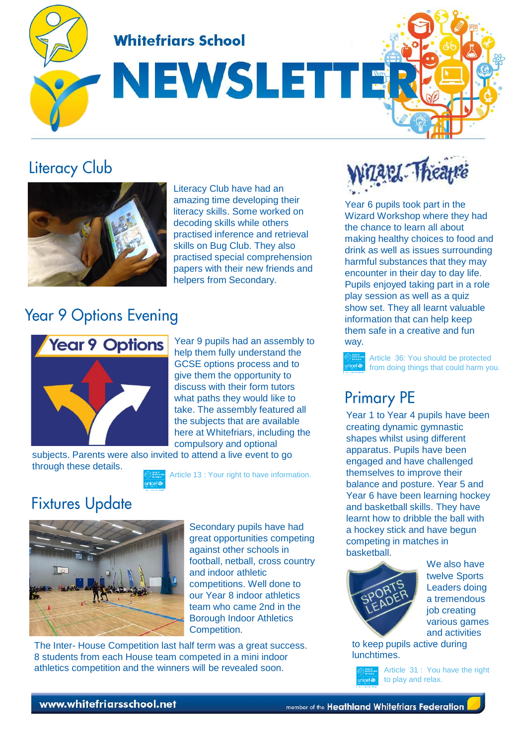**Whitefriars School** 

NEWSLETTE

## **Literacy Club**



Literacy Club have had an amazing time developing their literacy skills. Some worked on decoding skills while others practised inference and retrieval skills on Bug Club. They also practised special comprehension papers with their new friends and helpers from Secondary.

## **Year 9 Options Evening**



Year 9 pupils had an assembly to way. help them fully understand the GCSE options process and to give them the opportunity to discuss with their form tutors what paths they would like to take. The assembly featured all the subjects that are available here at Whitefriars, including the compulsory and optional

subjects. Parents were also invited to attend a live event to go through these details.



# **Fixtures Update**



Secondary pupils have had great opportunities competing against other schools in football, netball, cross country and indoor athletic competitions. Well done to our Year 8 indoor athletics team who came 2nd in the Borough Indoor Athletics Competition.

The Inter- House Competition last half term was a great success. 8 students from each House team competed in a mini indoor athletics competition and the winners will be revealed soon.



Year 6 pupils took part in the Wizard Workshop where they had the chance to learn all about making healthy choices to food and drink as well as issues surrounding harmful substances that they may encounter in their day to day life. Pupils enjoyed taking part in a role play session as well as a quiz show set. They all learnt valuable information that can help keep them safe in a creative and fun

Article 36: You should be protected from doing things that could harm you.

## **Primary PE**

Year 1 to Year 4 pupils have been creating dynamic gymnastic shapes whilst using different apparatus. Pupils have been engaged and have challenged themselves to improve their balance and posture. Year 5 and Year 6 have been learning hockey and basketball skills. They have learnt how to dribble the ball with a hockey stick and have begun competing in matches in basketball.



We also have twelve Sports Leaders doing a tremendous job creating various games and activities

to keep pupils active during lunchtimes.

Article 31 : You have the right to play and relax.

#### www.whitefriarsschool.net